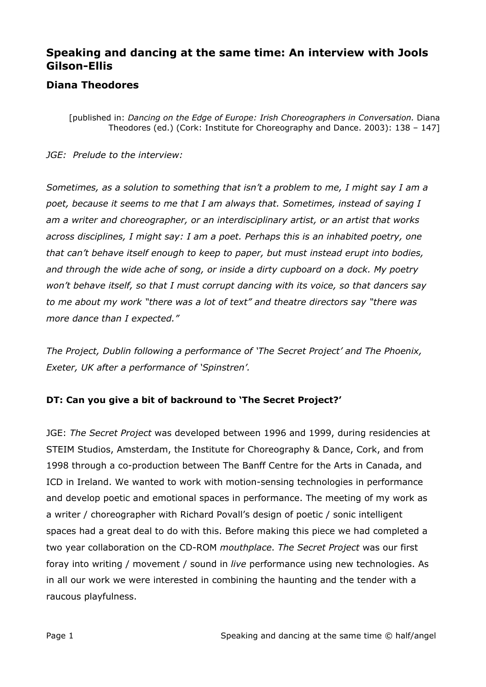### **Speaking and dancing at the same time: An interview with Jools Gilson-Ellis**

### **Diana Theodores**

[published in: *Dancing on the Edge of Europe: Irish Choreographers in Conversation.* Diana Theodores (ed.) (Cork: Institute for Choreography and Dance. 2003): 138 – 147]

*JGE: Prelude to the interview:*

*Sometimes, as a solution to something that isn't a problem to me, I might say I am a poet, because it seems to me that I am always that. Sometimes, instead of saying I am a writer and choreographer, or an interdisciplinary artist, or an artist that works across disciplines, I might say: I am a poet. Perhaps this is an inhabited poetry, one that can't behave itself enough to keep to paper, but must instead erupt into bodies, and through the wide ache of song, or inside a dirty cupboard on a dock. My poetry won't behave itself, so that I must corrupt dancing with its voice, so that dancers say to me about my work "there was a lot of text" and theatre directors say "there was more dance than I expected."*

*The Project, Dublin following a performance of 'The Secret Project' and The Phoenix, Exeter, UK after a performance of 'Spinstren'.*

### **DT: Can you give a bit of backround to 'The Secret Project?'**

JGE: *The Secret Project* was developed between 1996 and 1999, during residencies at STEIM Studios, Amsterdam, the Institute for Choreography & Dance, Cork, and from 1998 through a co-production between The Banff Centre for the Arts in Canada, and ICD in Ireland. We wanted to work with motion-sensing technologies in performance and develop poetic and emotional spaces in performance. The meeting of my work as a writer / choreographer with Richard Povall's design of poetic / sonic intelligent spaces had a great deal to do with this. Before making this piece we had completed a two year collaboration on the CD-ROM *mouthplace*. *The Secret Project* was our first foray into writing / movement / sound in *live* performance using new technologies. As in all our work we were interested in combining the haunting and the tender with a raucous playfulness.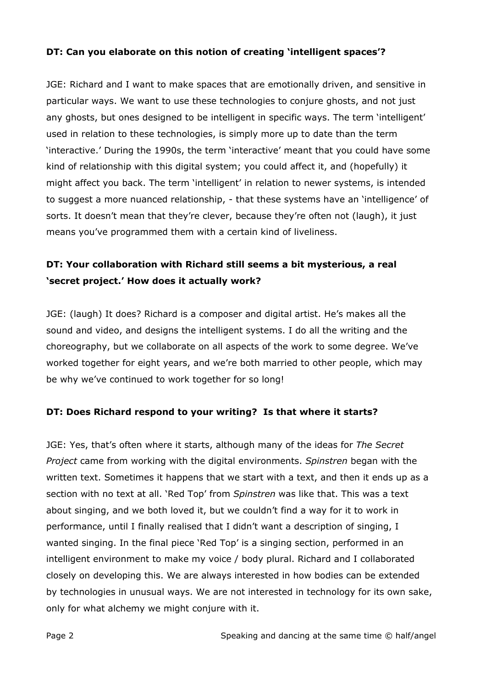#### **DT: Can you elaborate on this notion of creating 'intelligent spaces'?**

JGE: Richard and I want to make spaces that are emotionally driven, and sensitive in particular ways. We want to use these technologies to conjure ghosts, and not just any ghosts, but ones designed to be intelligent in specific ways. The term 'intelligent' used in relation to these technologies, is simply more up to date than the term 'interactive.' During the 1990s, the term 'interactive' meant that you could have some kind of relationship with this digital system; you could affect it, and (hopefully) it might affect you back. The term 'intelligent' in relation to newer systems, is intended to suggest a more nuanced relationship, - that these systems have an 'intelligence' of sorts. It doesn't mean that they're clever, because they're often not (laugh), it just means you've programmed them with a certain kind of liveliness.

## **DT: Your collaboration with Richard still seems a bit mysterious, a real 'secret project.' How does it actually work?**

JGE: (laugh) It does? Richard is a composer and digital artist. He's makes all the sound and video, and designs the intelligent systems. I do all the writing and the choreography, but we collaborate on all aspects of the work to some degree. We've worked together for eight years, and we're both married to other people, which may be why we've continued to work together for so long!

#### **DT: Does Richard respond to your writing? Is that where it starts?**

JGE: Yes, that's often where it starts, although many of the ideas for *The Secret Project* came from working with the digital environments. *Spinstren* began with the written text. Sometimes it happens that we start with a text, and then it ends up as a section with no text at all. 'Red Top' from *Spinstren* was like that. This was a text about singing, and we both loved it, but we couldn't find a way for it to work in performance, until I finally realised that I didn't want a description of singing, I wanted singing. In the final piece 'Red Top' is a singing section, performed in an intelligent environment to make my voice / body plural. Richard and I collaborated closely on developing this. We are always interested in how bodies can be extended by technologies in unusual ways. We are not interested in technology for its own sake, only for what alchemy we might conjure with it.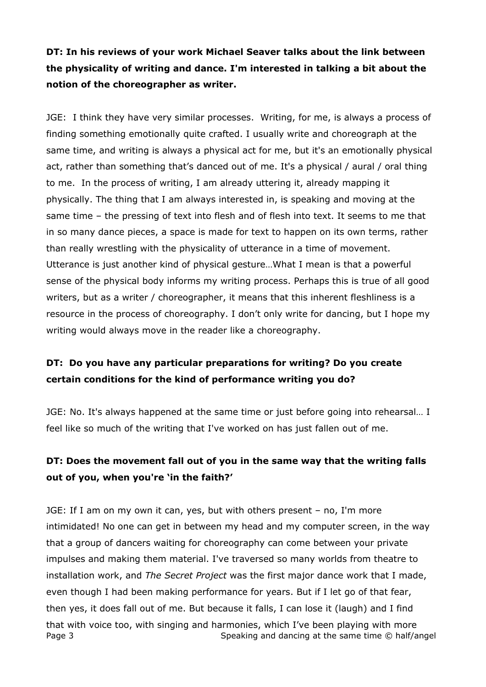**DT: In his reviews of your work Michael Seaver talks about the link between the physicality of writing and dance. I'm interested in talking a bit about the notion of the choreographer as writer.**

JGE: I think they have very similar processes. Writing, for me, is always a process of finding something emotionally quite crafted. I usually write and choreograph at the same time, and writing is always a physical act for me, but it's an emotionally physical act, rather than something that's danced out of me. It's a physical / aural / oral thing to me. In the process of writing, I am already uttering it, already mapping it physically. The thing that I am always interested in, is speaking and moving at the same time – the pressing of text into flesh and of flesh into text. It seems to me that in so many dance pieces, a space is made for text to happen on its own terms, rather than really wrestling with the physicality of utterance in a time of movement. Utterance is just another kind of physical gesture…What I mean is that a powerful sense of the physical body informs my writing process. Perhaps this is true of all good writers, but as a writer / choreographer, it means that this inherent fleshliness is a resource in the process of choreography. I don't only write for dancing, but I hope my writing would always move in the reader like a choreography.

## **DT: Do you have any particular preparations for writing? Do you create certain conditions for the kind of performance writing you do?**

JGE: No. It's always happened at the same time or just before going into rehearsal… I feel like so much of the writing that I've worked on has just fallen out of me.

## **DT: Does the movement fall out of you in the same way that the writing falls out of you, when you're 'in the faith?'**

Page 3 Speaking and dancing at the same time © half/angel JGE: If I am on my own it can, yes, but with others present – no, I'm more intimidated! No one can get in between my head and my computer screen, in the way that a group of dancers waiting for choreography can come between your private impulses and making them material. I've traversed so many worlds from theatre to installation work, and *The Secret Project* was the first major dance work that I made, even though I had been making performance for years. But if I let go of that fear, then yes, it does fall out of me. But because it falls, I can lose it (laugh) and I find that with voice too, with singing and harmonies, which I've been playing with more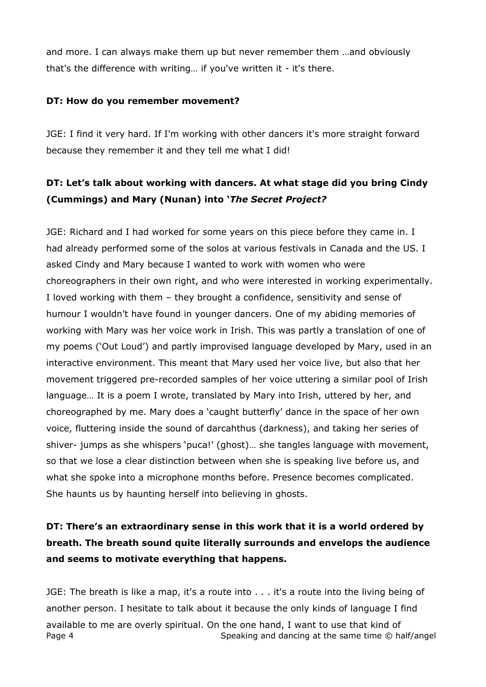and more. I can always make them up but never remember them …and obviously that's the difference with writing… if you've written it - it's there.

#### **DT: How do you remember movement?**

JGE: I find it very hard. If I'm working with other dancers it's more straight forward because they remember it and they tell me what I did!

## **DT: Let's talk about working with dancers. At what stage did you bring Cindy (Cummings) and Mary (Nunan) into '***The Secret Project?*

JGE: Richard and I had worked for some years on this piece before they came in. I had already performed some of the solos at various festivals in Canada and the US. I asked Cindy and Mary because I wanted to work with women who were choreographers in their own right, and who were interested in working experimentally. I loved working with them – they brought a confidence, sensitivity and sense of humour I wouldn't have found in younger dancers. One of my abiding memories of working with Mary was her voice work in Irish. This was partly a translation of one of my poems ('Out Loud') and partly improvised language developed by Mary, used in an interactive environment. This meant that Mary used her voice live, but also that her movement triggered pre-recorded samples of her voice uttering a similar pool of Irish language… It is a poem I wrote, translated by Mary into Irish, uttered by her, and choreographed by me. Mary does a 'caught butterfly' dance in the space of her own voice, fluttering inside the sound of darcahthus (darkness), and taking her series of shiver- jumps as she whispers 'puca!' (ghost)… she tangles language with movement, so that we lose a clear distinction between when she is speaking live before us, and what she spoke into a microphone months before. Presence becomes complicated. She haunts us by haunting herself into believing in ghosts.

# **DT: There's an extraordinary sense in this work that it is a world ordered by breath. The breath sound quite literally surrounds and envelops the audience and seems to motivate everything that happens.**

Page 4 Speaking and dancing at the same time © half/angel JGE: The breath is like a map, it's a route into . . . it's a route into the living being of another person. I hesitate to talk about it because the only kinds of language I find available to me are overly spiritual. On the one hand, I want to use that kind of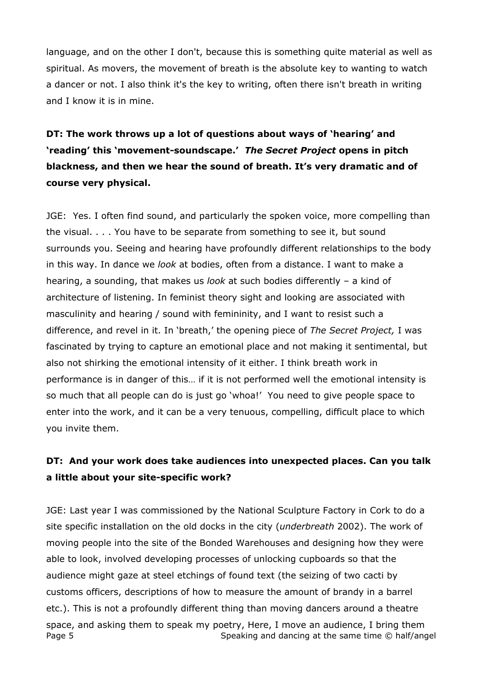language, and on the other I don't, because this is something quite material as well as spiritual. As movers, the movement of breath is the absolute key to wanting to watch a dancer or not. I also think it's the key to writing, often there isn't breath in writing and I know it is in mine.

# **DT: The work throws up a lot of questions about ways of 'hearing' and 'reading' this 'movement-soundscape.'** *The Secret Project* **opens in pitch blackness, and then we hear the sound of breath. It's very dramatic and of course very physical.**

JGE: Yes. I often find sound, and particularly the spoken voice, more compelling than the visual. . . . You have to be separate from something to see it, but sound surrounds you. Seeing and hearing have profoundly different relationships to the body in this way. In dance we *look* at bodies, often from a distance. I want to make a hearing, a sounding, that makes us *look* at such bodies differently – a kind of architecture of listening. In feminist theory sight and looking are associated with masculinity and hearing / sound with femininity, and I want to resist such a difference, and revel in it. In 'breath,' the opening piece of *The Secret Project,* I was fascinated by trying to capture an emotional place and not making it sentimental, but also not shirking the emotional intensity of it either. I think breath work in performance is in danger of this… if it is not performed well the emotional intensity is so much that all people can do is just go 'whoa!' You need to give people space to enter into the work, and it can be a very tenuous, compelling, difficult place to which you invite them.

## **DT: And your work does take audiences into unexpected places. Can you talk a little about your site-specific work?**

Page 5 Speaking and dancing at the same time © half/angel JGE: Last year I was commissioned by the National Sculpture Factory in Cork to do a site specific installation on the old docks in the city (*underbreath* 2002). The work of moving people into the site of the Bonded Warehouses and designing how they were able to look, involved developing processes of unlocking cupboards so that the audience might gaze at steel etchings of found text (the seizing of two cacti by customs officers, descriptions of how to measure the amount of brandy in a barrel etc.). This is not a profoundly different thing than moving dancers around a theatre space, and asking them to speak my poetry, Here, I move an audience, I bring them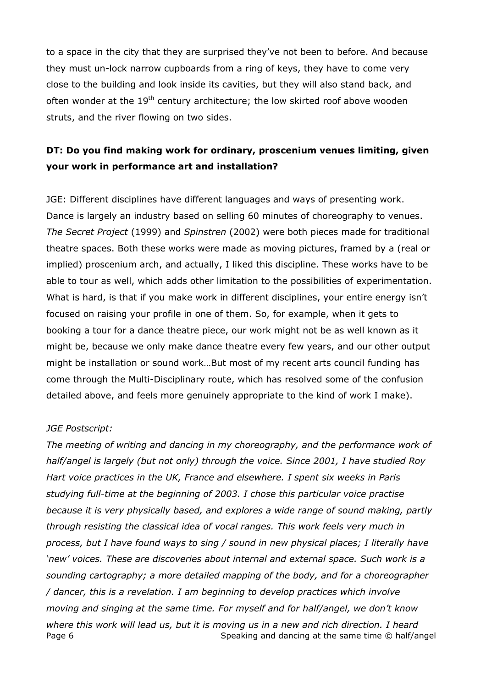to a space in the city that they are surprised they've not been to before. And because they must un-lock narrow cupboards from a ring of keys, they have to come very close to the building and look inside its cavities, but they will also stand back, and often wonder at the  $19<sup>th</sup>$  century architecture; the low skirted roof above wooden struts, and the river flowing on two sides.

## **DT: Do you find making work for ordinary, proscenium venues limiting, given your work in performance art and installation?**

JGE: Different disciplines have different languages and ways of presenting work. Dance is largely an industry based on selling 60 minutes of choreography to venues. *The Secret Project* (1999) and *Spinstren* (2002) were both pieces made for traditional theatre spaces. Both these works were made as moving pictures, framed by a (real or implied) proscenium arch, and actually, I liked this discipline. These works have to be able to tour as well, which adds other limitation to the possibilities of experimentation. What is hard, is that if you make work in different disciplines, your entire energy isn't focused on raising your profile in one of them. So, for example, when it gets to booking a tour for a dance theatre piece, our work might not be as well known as it might be, because we only make dance theatre every few years, and our other output might be installation or sound work…But most of my recent arts council funding has come through the Multi-Disciplinary route, which has resolved some of the confusion detailed above, and feels more genuinely appropriate to the kind of work I make).

#### *JGE Postscript:*

Page 6 Speaking and dancing at the same time © half/angel *The meeting of writing and dancing in my choreography, and the performance work of half/angel is largely (but not only) through the voice. Since 2001, I have studied Roy Hart voice practices in the UK, France and elsewhere. I spent six weeks in Paris studying full-time at the beginning of 2003. I chose this particular voice practise because it is very physically based, and explores a wide range of sound making, partly through resisting the classical idea of vocal ranges. This work feels very much in process, but I have found ways to sing / sound in new physical places; I literally have 'new' voices. These are discoveries about internal and external space. Such work is a sounding cartography; a more detailed mapping of the body, and for a choreographer / dancer, this is a revelation. I am beginning to develop practices which involve moving and singing at the same time. For myself and for half/angel, we don't know where this work will lead us, but it is moving us in a new and rich direction. I heard*